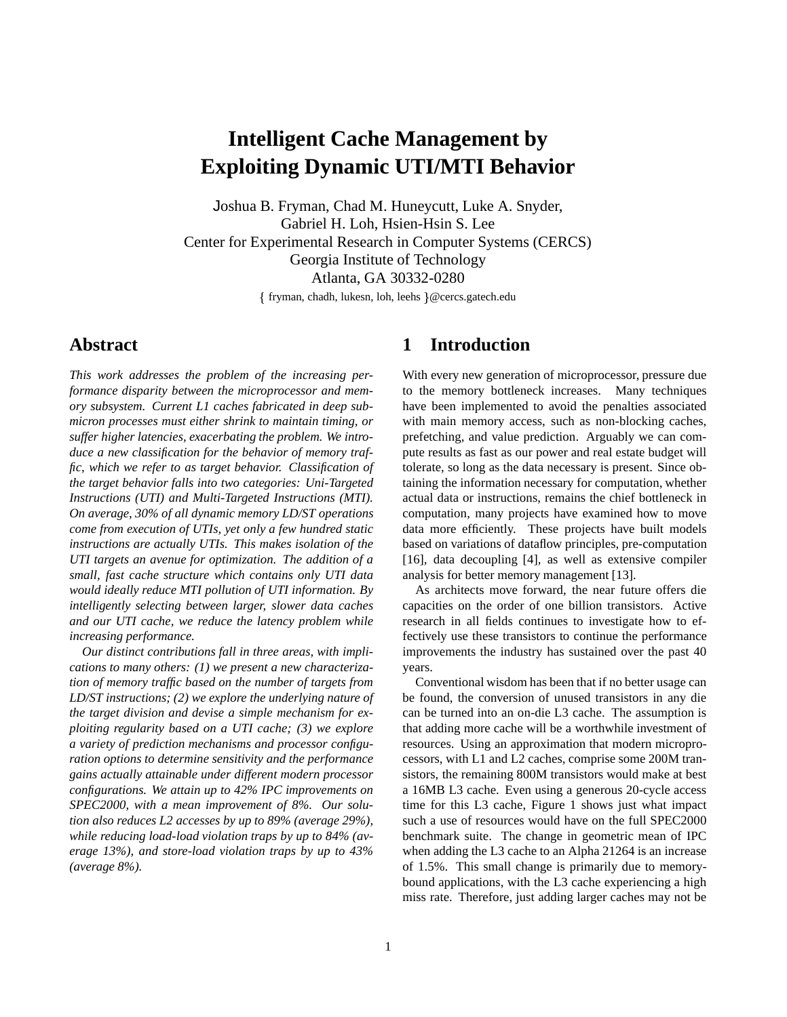# **Intelligent Cache Management by Exploiting Dynamic UTI/MTI Behavior**

Joshua B. Fryman, Chad M. Huneycutt, Luke A. Snyder, Gabriel H. Loh, Hsien-Hsin S. Lee Center for Experimental Research in Computer Systems (CERCS) Georgia Institute of Technology Atlanta, GA 30332-0280 fryman, chadh, lukesn, loh, leehs @cercs.gatech.edu

# **Abstract**

*This work addresses the problem of the increasing performance disparity between the microprocessor and memory subsystem. Current L1 caches fabricated in deep submicron processes must either shrink to maintain timing, or suffer higher latencies, exacerbating the problem. We introduce a new classification for the behavior of memory traffic, which we refer to as target behavior. Classification of the target behavior falls into two categories: Uni-Targeted Instructions (UTI) and Multi-Targeted Instructions (MTI). On average, 30% of all dynamic memory LD/ST operations come from execution of UTIs, yet only a few hundred static instructions are actually UTIs. This makes isolation of the UTI targets an avenue for optimization. The addition of a small, fast cache structure which contains only UTI data would ideally reduce MTI pollution of UTI information. By intelligently selecting between larger, slower data caches and our UTI cache, we reduce the latency problem while increasing performance.*

*Our distinct contributions fall in three areas, with implications to many others: (1) we present a new characterization of memory traffic based on the number of targets from LD/ST instructions; (2) we explore the underlying nature of the target division and devise a simple mechanism for exploiting regularity based on a UTI cache; (3) we explore a variety of prediction mechanisms and processor configuration options to determine sensitivity and the performance gains actually attainable under different modern processor configurations. We attain up to 42% IPC improvements on SPEC2000, with a mean improvement of 8%. Our solution also reduces L2 accesses by up to 89% (average 29%), while reducing load-load violation traps by up to 84% (average 13%), and store-load violation traps by up to 43% (average 8%).*

# **1 Introduction**

With every new generation of microprocessor, pressure due to the memory bottleneck increases. Many techniques have been implemented to avoid the penalties associated with main memory access, such as non-blocking caches, prefetching, and value prediction. Arguably we can compute results as fast as our power and real estate budget will tolerate, so long as the data necessary is present. Since obtaining the information necessary for computation, whether actual data or instructions, remains the chief bottleneck in computation, many projects have examined how to move data more efficiently. These projects have built models based on variations of dataflow principles, pre-computation [16], data decoupling [4], as well as extensive compiler analysis for better memory management [13].

As architects move forward, the near future offers die capacities on the order of one billion transistors. Active research in all fields continues to investigate how to effectively use these transistors to continue the performance improvements the industry has sustained over the past 40 years.

Conventional wisdom has been that if no better usage can be found, the conversion of unused transistors in any die can be turned into an on-die L3 cache. The assumption is that adding more cache will be a worthwhile investment of resources. Using an approximation that modern microprocessors, with L1 and L2 caches, comprise some 200M transistors, the remaining 800M transistors would make at best a 16MB L3 cache. Even using a generous 20-cycle access time for this L3 cache, Figure 1 shows just what impact such a use of resources would have on the full SPEC2000 benchmark suite. The change in geometric mean of IPC when adding the L3 cache to an Alpha 21264 is an increase of 1.5%. This small change is primarily due to memorybound applications, with the L3 cache experiencing a high miss rate. Therefore, just adding larger caches may not be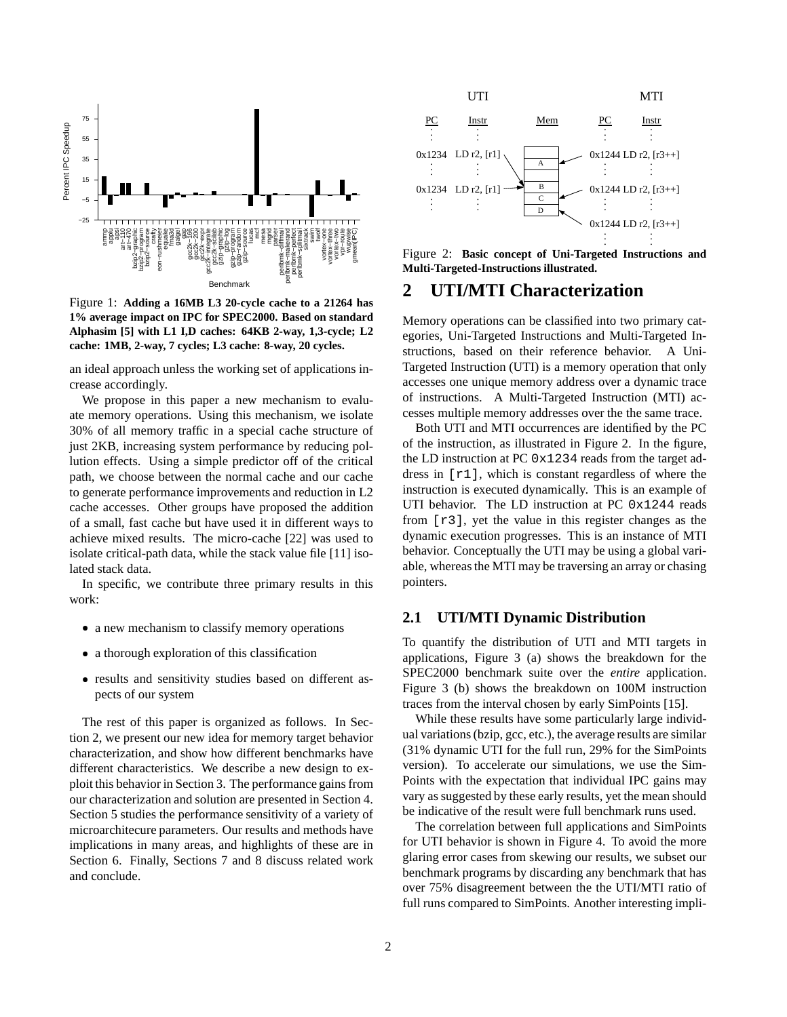

Figure 1: **Adding a 16MB L3 20-cycle cache to a 21264 has 1% average impact on IPC for SPEC2000. Based on standard Alphasim [5] with L1 I,D caches: 64KB 2-way, 1,3-cycle; L2 cache: 1MB, 2-way, 7 cycles; L3 cache: 8-way, 20 cycles.**

an ideal approach unless the working set of applications increase accordingly.

We propose in this paper a new mechanism to evaluate memory operations. Using this mechanism, we isolate 30% of all memory traffic in a special cache structure of just 2KB, increasing system performance by reducing pollution effects. Using a simple predictor off of the critical path, we choose between the normal cache and our cache to generate performance improvements and reduction in L2 cache accesses. Other groups have proposed the addition of a small, fast cache but have used it in different ways to achieve mixed results. The micro-cache [22] was used to isolate critical-path data, while the stack value file [11] isolated stack data.

In specific, we contribute three primary results in this work:

- a new mechanism to classify memory operations
- a thorough exploration of this classification
- results and sensitivity studies based on different aspects of our system

The rest of this paper is organized as follows. In Section 2, we present our new idea for memory target behavior characterization, and show how different benchmarks have different characteristics. We describe a new design to exploit this behavior in Section 3. The performance gains from our characterization and solution are presented in Section 4. Section 5 studies the performance sensitivity of a variety of microarchitecure parameters. Our results and methods have implications in many areas, and highlights of these are in Section 6. Finally, Sections 7 and 8 discuss related work and conclude.



Figure 2: **Basic concept of Uni-Targeted Instructions and Multi-Targeted-Instructions illustrated.**

### **2 UTI/MTI Characterization**

Memory operations can be classified into two primary categories, Uni-Targeted Instructions and Multi-Targeted Instructions, based on their reference behavior. A Uni-Targeted Instruction (UTI) is a memory operation that only accesses one unique memory address over a dynamic trace of instructions. A Multi-Targeted Instruction (MTI) accesses multiple memory addresses over the the same trace.

Both UTI and MTI occurrences are identified by the PC of the instruction, as illustrated in Figure 2. In the figure, the LD instruction at PC 0x1234 reads from the target address in [r1], which is constant regardless of where the instruction is executed dynamically. This is an example of UTI behavior. The LD instruction at PC 0x1244 reads from [r3], yet the value in this register changes as the dynamic execution progresses. This is an instance of MTI behavior. Conceptually the UTI may be using a global variable, whereas the MTI may be traversing an array or chasing pointers.

#### **2.1 UTI/MTI Dynamic Distribution**

To quantify the distribution of UTI and MTI targets in applications, Figure 3 (a) shows the breakdown for the SPEC2000 benchmark suite over the *entire* application. Figure 3 (b) shows the breakdown on 100M instruction traces from the interval chosen by early SimPoints [15].

While these results have some particularly large individual variations(bzip, gcc, etc.), the average results are similar (31% dynamic UTI for the full run, 29% for the SimPoints version). To accelerate our simulations, we use the Sim-Points with the expectation that individual IPC gains may vary as suggested by these early results, yet the mean should be indicative of the result were full benchmark runs used.

The correlation between full applications and SimPoints for UTI behavior is shown in Figure 4. To avoid the more glaring error cases from skewing our results, we subset our benchmark programs by discarding any benchmark that has over 75% disagreement between the the UTI/MTI ratio of full runs compared to SimPoints. Another interesting impli-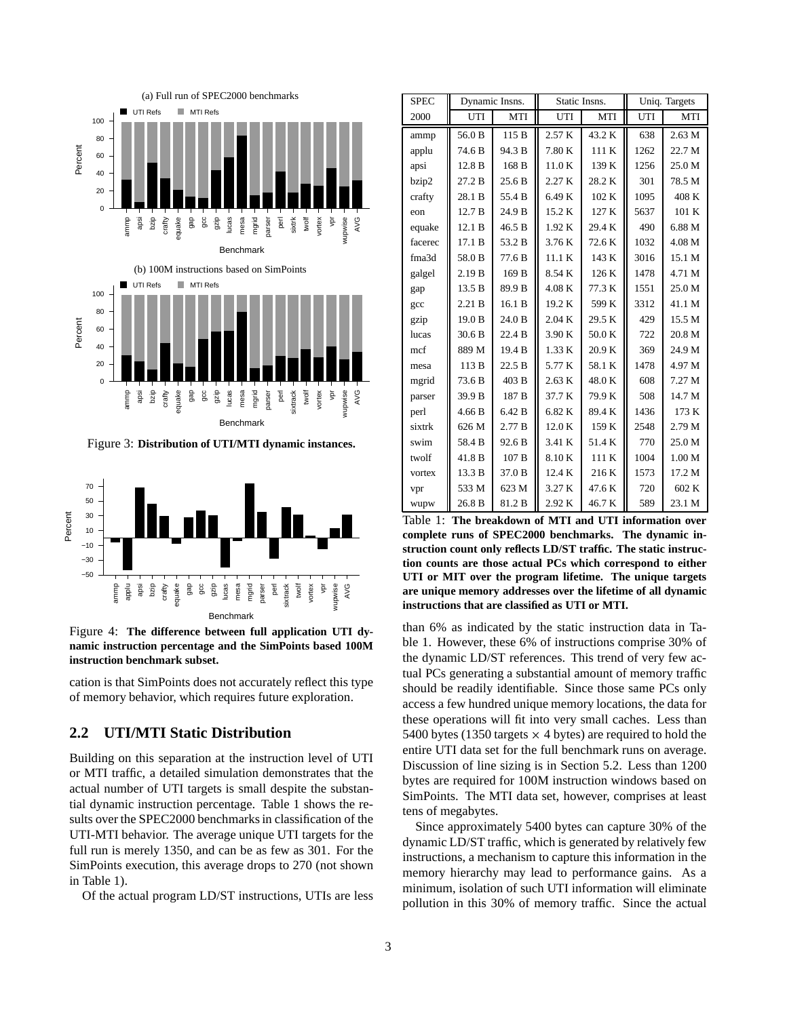

Figure 3: **Distribution of UTI/MTI dynamic instances.**



Figure 4: **The difference between full application UTI dynamic instruction percentage and the SimPoints based 100M instruction benchmark subset.**

cation is that SimPoints does not accurately reflect this type of memory behavior, which requires future exploration.

# **2.2 UTI/MTI Static Distribution**

Building on this separation at the instruction level of UTI or MTI traffic, a detailed simulation demonstrates that the actual number of UTI targets is small despite the substantial dynamic instruction percentage. Table 1 shows the results over the SPEC2000 benchmarks in classification of the UTI-MTI behavior. The average unique UTI targets for the full run is merely 1350, and can be as few as 301. For the SimPoints execution, this average drops to 270 (not shown in Table 1).

Of the actual program LD/ST instructions, UTIs are less

| <b>SPEC</b> | Dynamic Insns.    |                   | Static Insns. |        | Uniq. Targets |                   |
|-------------|-------------------|-------------------|---------------|--------|---------------|-------------------|
| 2000        | UTI               | <b>MTI</b>        | UTI           | MTI    | UTI           | MTI               |
| ammp        | 56.0 B            | 115 B             | 2.57 K        | 43.2 K | 638           | 2.63 M            |
| applu       | 74.6 B            | 94.3 B            | 7.80 K        | 111 K  | 1262          | 22.7 M            |
| apsi        | 12.8 B            | 168 B             | 11.0K         | 139 K  | 1256          | 25.0 M            |
| bzip2       | 27.2 B            | 25.6B             | 2.27 K        | 28.2 K | 301           | 78.5 M            |
| crafty      | 28.1 B            | 55.4 B            | 6.49 K        | 102 K  | 1095          | 408 K             |
| eon         | 12.7 <sub>B</sub> | 24.9 B            | 15.2 K        | 127 K  | 5637          | 101 K             |
| equake      | 12.1 B            | 46.5 B            | 1.92K         | 29.4 K | 490           | 6.88 M            |
| facerec     | 17.1 B            | 53.2 B            | 3.76 K        | 72.6 K | 1032          | 4.08 M            |
| fma3d       | 58.0 B            | 77.6 B            | 11.1 K        | 143 K  | 3016          | 15.1 M            |
| galgel      | 2.19B             | 169 B             | 8.54 K        | 126 K  | 1478          | 4.71 M            |
| gap         | 13.5 B            | 89.9 <sub>B</sub> | 4.08K         | 77.3 K | 1551          | 25.0 M            |
| gcc         | 2.21 B            | 16.1 B            | 19.2 K        | 599 K  | 3312          | 41.1 M            |
| gzip        | 19.0 <sub>B</sub> | 24.0 B            | 2.04 K        | 29.5 K | 429           | 15.5 M            |
| lucas       | 30.6 B            | 22.4 B            | 3.90 K        | 50.0 K | 722           | 20.8 M            |
| mcf         | 889 M             | 19.4 <sub>B</sub> | 1.33 K        | 20.9 K | 369           | 24.9 M            |
| mesa        | 113 B             | 22.5B             | 5.77 K        | 58.1 K | 1478          | 4.97 M            |
| mgrid       | 73.6 B            | 403 B             | 2.63 K        | 48.0K  | 608           | 7.27 M            |
| parser      | 39.9 B            | 187 <sub>B</sub>  | 37.7 K        | 79.9 K | 508           | 14.7 M            |
| perl        | 4.66 B            | 6.42 B            | 6.82 K        | 89.4 K | 1436          | 173 K             |
| sixtrk      | 626 M             | 2.77B             | 12.0 K        | 159 K  | 2548          | 2.79 M            |
| swim        | 58.4 B            | 92.6 <sub>B</sub> | 3.41 K        | 51.4 K | 770           | 25.0 M            |
| twolf       | 41.8 B            | 107 <sub>B</sub>  | 8.10K         | 111 K  | 1004          | 1.00 <sub>M</sub> |
| vortex      | 13.3 B            | 37.0 B            | 12.4 K        | 216K   | 1573          | 17.2 M            |
| vpr         | 533 M             | 623 M             | 3.27 K        | 47.6K  | 720           | 602 K             |
| wupw        | 26.8 B            | 81.2 B            | 2.92 K        | 46.7 K | 589           | 23.1 M            |

Table 1: **The breakdown of MTI and UTI information over complete runs of SPEC2000 benchmarks. The dynamic instruction count only reflects LD/ST traffic. The static instruction counts are those actual PCs which correspond to either UTI or MIT over the program lifetime. The unique targets are unique memory addresses over the lifetime of all dynamic instructions that are classified as UTI or MTI.**

than 6% as indicated by the static instruction data in Table 1. However, these 6% of instructions comprise 30% of the dynamic LD/ST references. This trend of very few actual PCs generating a substantial amount of memory traffic should be readily identifiable. Since those same PCs only access a few hundred unique memory locations, the data for these operations will fit into very small caches. Less than 5400 bytes (1350 targets  $\times$  4 bytes) are required to hold the entire UTI data set for the full benchmark runs on average. Discussion of line sizing is in Section 5.2. Less than 1200 bytes are required for 100M instruction windows based on SimPoints. The MTI data set, however, comprises at least tens of megabytes.

Since approximately 5400 bytes can capture 30% of the dynamic LD/ST traffic, which is generated by relatively few instructions, a mechanism to capture this information in the memory hierarchy may lead to performance gains. As a minimum, isolation of such UTI information will eliminate pollution in this 30% of memory traffic. Since the actual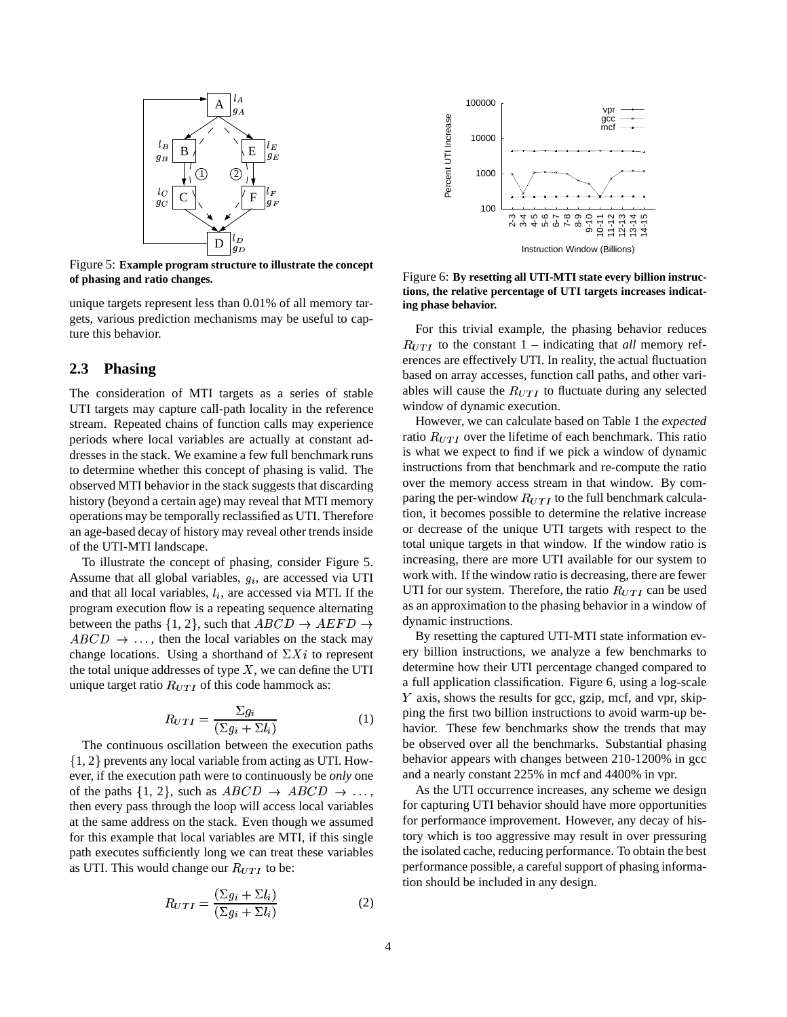

Figure 5: **Example program structure to illustrate the concept of phasing and ratio changes.**

unique targets represent less than 0.01% of all memory targets, various prediction mechanisms may be useful to capture this behavior.

### **2.3 Phasing**

The consideration of MTI targets as a series of stable UTI targets may capture call-path locality in the reference stream. Repeated chains of function calls may experience periods where local variables are actually at constant addresses in the stack. We examine a few full benchmark runs to determine whether this concept of phasing is valid. The observed MTI behavior in the stack suggests that discarding history (beyond a certain age) may reveal that MTI memory operations may be temporally reclassified as UTI. Therefore an age-based decay of history may reveal other trends inside of the UTI-MTI landscape.

To illustrate the concept of phasing, consider Figure 5. Assume that all global variables,  $g_i$ , are accessed via UTI and that all local variables,  $l_i$ , are accessed via MTI. If the program execution flow is a repeating sequence alternating between the paths  $\{1, 2\}$ , such that  $ABCD \rightarrow AEFD \rightarrow$  $ABCD \rightarrow \dots$ , then the local variables on the stack may change locations. Using a shorthand of  $\Sigma X_i$  to represent the total unique addresses of type  $X$ , we can define the UTI unique target ratio  $R_{UTI}$  of this code hammock as:

$$
R_{UTI} = \frac{\Sigma g_i}{(\Sigma g_i + \Sigma l_i)}\tag{1}
$$

The continuous oscillation between the execution paths  $\{1, 2\}$  prevents any local variable from acting as UTI. However, if the execution path were to continuously be *only* one of the paths  $\{1, 2\}$ , such as  $ABCD \rightarrow ABCD \rightarrow \ldots$ , then every pass through the loop will access local variables at the same address on the stack. Even though we assumed for this example that local variables are MTI, if this single path executes sufficiently long we can treat these variables as UTI. This would change our  $R_{UTI}$  to be:

$$
R_{UTI} = \frac{(\Sigma g_i + \Sigma l_i)}{(\Sigma g_i + \Sigma l_i)}\tag{2}
$$



Figure 6: **By resetting all UTI-MTI state every billion instructions, the relative percentage of UTI targets increases indicating phase behavior.**

For this trivial example, the phasing behavior reduces  $R_{UTI}$  to the constant 1 – indicating that *all* memory references are effectively UTI. In reality, the actual fluctuation based on array accesses, function call paths, and other variables will cause the  $R_{UTI}$  to fluctuate during any selected window of dynamic execution.

However, we can calculate based on Table 1 the *expected* ratio  $R_{UTI}$  over the lifetime of each benchmark. This ratio is what we expect to find if we pick a window of dynamic instructions from that benchmark and re-compute the ratio over the memory access stream in that window. By comparing the per-window  $R_{UTI}$  to the full benchmark calculation, it becomes possible to determine the relative increase or decrease of the unique UTI targets with respect to the total unique targets in that window. If the window ratio is increasing, there are more UTI available for our system to work with. If the window ratio is decreasing, there are fewer UTI for our system. Therefore, the ratio  $R_{UT}$  can be used as an approximation to the phasing behavior in a window of dynamic instructions.

By resetting the captured UTI-MTI state information every billion instructions, we analyze a few benchmarks to determine how their UTI percentage changed compared to a full application classification. Figure 6, using a log-scale Y axis, shows the results for gcc, gzip, mcf, and vpr, skipping the first two billion instructions to avoid warm-up behavior. These few benchmarks show the trends that may be observed over all the benchmarks. Substantial phasing behavior appears with changes between 210-1200% in gcc and a nearly constant 225% in mcf and 4400% in vpr.

As the UTI occurrence increases, any scheme we design for capturing UTI behavior should have more opportunities for performance improvement. However, any decay of history which is too aggressive may result in over pressuring the isolated cache, reducing performance. To obtain the best performance possible, a careful support of phasing information should be included in any design.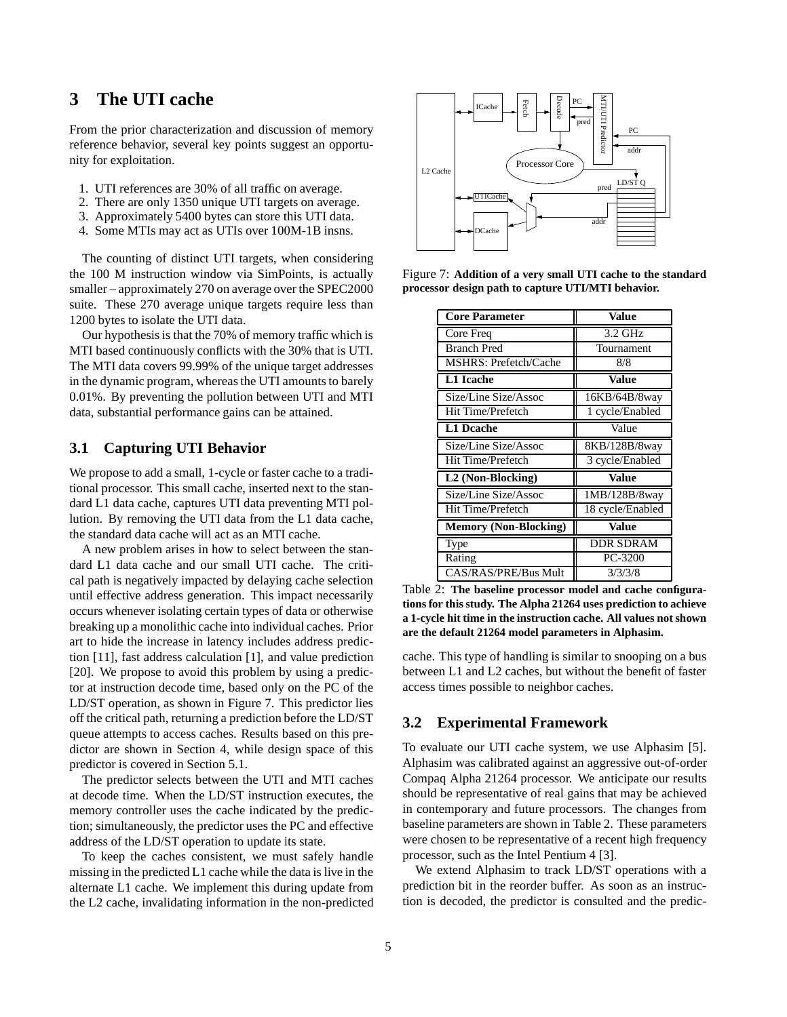# **3 The UTI cache**

From the prior characterization and discussion of memory reference behavior, several key points suggest an opportunity for exploitation.

- 1. UTI references are 30% of all traffic on average.
- 2. There are only 1350 unique UTI targets on average.
- 3. Approximately 5400 bytes can store this UTI data.
- 4. Some MTIs may act as UTIs over 100M-1B insns.

The counting of distinct UTI targets, when considering the 100 M instruction window via SimPoints, is actually smaller – approximately 270 on average over the SPEC2000 suite. These 270 average unique targets require less than 1200 bytes to isolate the UTI data.

Our hypothesisis that the 70% of memory traffic which is MTI based continuously conflicts with the 30% that is UTI. The MTI data covers 99.99% of the unique target addresses in the dynamic program, whereas the UTI amounts to barely 0.01%. By preventing the pollution between UTI and MTI data, substantial performance gains can be attained.

### **3.1 Capturing UTI Behavior**

We propose to add a small, 1-cycle or faster cache to a traditional processor. This small cache, inserted next to the standard L1 data cache, captures UTI data preventing MTI pollution. By removing the UTI data from the L1 data cache, the standard data cache will act as an MTI cache.

A new problem arises in how to select between the standard L1 data cache and our small UTI cache. The critical path is negatively impacted by delaying cache selection until effective address generation. This impact necessarily occurs whenever isolating certain types of data or otherwise breaking up a monolithic cache into individual caches. Prior art to hide the increase in latency includes address prediction [11], fast address calculation [1], and value prediction [20]. We propose to avoid this problem by using a predictor at instruction decode time, based only on the PC of the LD/ST operation, as shown in Figure 7. This predictor lies off the critical path, returning a prediction before the LD/ST queue attempts to access caches. Results based on this predictor are shown in Section 4, while design space of this predictor is covered in Section 5.1.

The predictor selects between the UTI and MTI caches at decode time. When the LD/ST instruction executes, the memory controller uses the cache indicated by the prediction; simultaneously, the predictor uses the PC and effective address of the LD/ST operation to update its state.

To keep the caches consistent, we must safely handle missing in the predicted L1 cache while the data is live in the alternate L1 cache. We implement this during update from the L2 cache, invalidating information in the non-predicted



Figure 7: **Addition of a very small UTI cache to the standard processor design path to capture UTI/MTI behavior.**

| <b>Core Parameter</b>          | Value            |  |  |
|--------------------------------|------------------|--|--|
| Core Freq                      | $3.2$ GHz        |  |  |
| <b>Branch Pred</b>             | Tournament       |  |  |
| MSHRS: Prefetch/Cache          | 8/8              |  |  |
| L1 Icache                      | Value            |  |  |
| Size/Line Size/Assoc           | 16KB/64B/8way    |  |  |
| Hit Time/Prefetch              | 1 cycle/Enabled  |  |  |
| <b>L1 Dcache</b>               | Value            |  |  |
| Size/Line Size/Assoc           | 8KB/128B/8way    |  |  |
| Hit Time/Prefetch              | 3 cycle/Enabled  |  |  |
| $\overline{L2}$ (Non-Blocking) | Value            |  |  |
| Size/Line Size/Assoc           | 1MB/128B/8way    |  |  |
| Hit Time/Prefetch              | 18 cycle/Enabled |  |  |
| <b>Memory (Non-Blocking)</b>   | Value            |  |  |
| Type                           | <b>DDR SDRAM</b> |  |  |
| Rating                         | PC-3200          |  |  |
| CAS/RAS/PRE/Bus Mult           | 3/3/3/8          |  |  |

Table 2: **The baseline processor model and cache configurations for thisstudy. The Alpha 21264 uses prediction to achieve a 1-cycle hit time in the instruction cache. All values not shown are the default 21264 model parameters in Alphasim.**

cache. This type of handling is similar to snooping on a bus between L1 and L2 caches, but without the benefit of faster access times possible to neighbor caches.

### **3.2 Experimental Framework**

To evaluate our UTI cache system, we use Alphasim [5]. Alphasim was calibrated against an aggressive out-of-order Compaq Alpha 21264 processor. We anticipate our results should be representative of real gains that may be achieved in contemporary and future processors. The changes from baseline parameters are shown in Table 2. These parameters were chosen to be representative of a recent high frequency processor, such as the Intel Pentium 4 [3].

We extend Alphasim to track LD/ST operations with a prediction bit in the reorder buffer. As soon as an instruction is decoded, the predictor is consulted and the predic-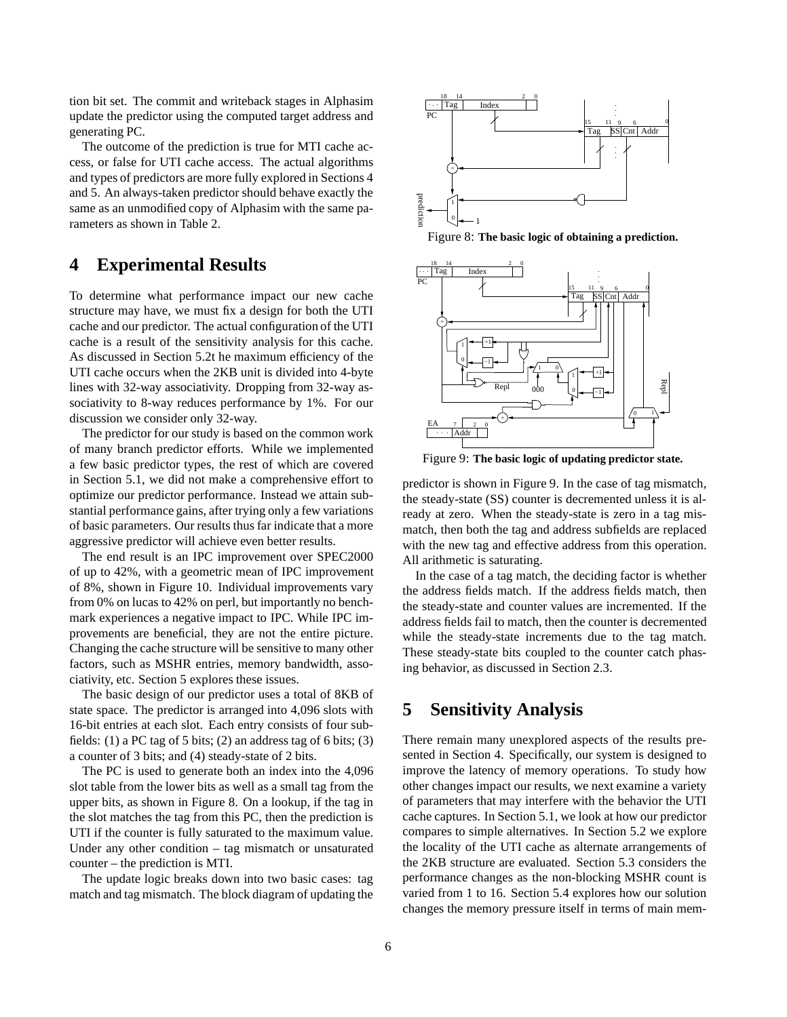tion bit set. The commit and writeback stages in Alphasim update the predictor using the computed target address and generating PC.

The outcome of the prediction is true for MTI cache access, or false for UTI cache access. The actual algorithms and types of predictors are more fully explored in Sections 4 and 5. An always-taken predictor should behave exactly the same as an unmodified copy of Alphasim with the same parameters as shown in Table 2.

# **4 Experimental Results**

To determine what performance impact our new cache structure may have, we must fix a design for both the UTI cache and our predictor. The actual configuration of the UTI cache is a result of the sensitivity analysis for this cache. As discussed in Section 5.2t he maximum efficiency of the UTI cache occurs when the 2KB unit is divided into 4-byte lines with 32-way associativity. Dropping from 32-way associativity to 8-way reduces performance by 1%. For our discussion we consider only 32-way.

The predictor for our study is based on the common work of many branch predictor efforts. While we implemented a few basic predictor types, the rest of which are covered in Section 5.1, we did not make a comprehensive effort to optimize our predictor performance. Instead we attain substantial performance gains, after trying only a few variations of basic parameters. Our results thus far indicate that a more aggressive predictor will achieve even better results.

The end result is an IPC improvement over SPEC2000 of up to 42%, with a geometric mean of IPC improvement of 8%, shown in Figure 10. Individual improvements vary from 0% on lucas to 42% on perl, but importantly no benchmark experiences a negative impact to IPC. While IPC improvements are beneficial, they are not the entire picture. Changing the cache structure will be sensitive to many other factors, such as MSHR entries, memory bandwidth, associativity, etc. Section 5 explores these issues.

The basic design of our predictor uses a total of 8KB of state space. The predictor is arranged into 4,096 slots with 16-bit entries at each slot. Each entry consists of four subfields: (1) a PC tag of 5 bits; (2) an address tag of 6 bits; (3) a counter of 3 bits; and (4) steady-state of 2 bits.

The PC is used to generate both an index into the 4,096 slot table from the lower bits as well as a small tag from the upper bits, as shown in Figure 8. On a lookup, if the tag in the slot matches the tag from this PC, then the prediction is UTI if the counter is fully saturated to the maximum value. Under any other condition – tag mismatch or unsaturated counter – the prediction is MTI.

The update logic breaks down into two basic cases: tag match and tag mismatch. The block diagram of updating the



Figure 8: **The basic logic of obtaining a prediction.**



Figure 9: **The basic logic of updating predictor state.**

predictor is shown in Figure 9. In the case of tag mismatch, the steady-state (SS) counter is decremented unless it is already at zero. When the steady-state is zero in a tag mismatch, then both the tag and address subfields are replaced with the new tag and effective address from this operation. All arithmetic is saturating.

In the case of a tag match, the deciding factor is whether the address fields match. If the address fields match, then the steady-state and counter values are incremented. If the address fields fail to match, then the counter is decremented while the steady-state increments due to the tag match. These steady-state bits coupled to the counter catch phasing behavior, as discussed in Section 2.3.

# **5 Sensitivity Analysis**

There remain many unexplored aspects of the results presented in Section 4. Specifically, our system is designed to improve the latency of memory operations. To study how other changes impact our results, we next examine a variety of parameters that may interfere with the behavior the UTI cache captures. In Section 5.1, we look at how our predictor compares to simple alternatives. In Section 5.2 we explore the locality of the UTI cache as alternate arrangements of the 2KB structure are evaluated. Section 5.3 considers the performance changes as the non-blocking MSHR count is varied from 1 to 16. Section 5.4 explores how our solution changes the memory pressure itself in terms of main mem-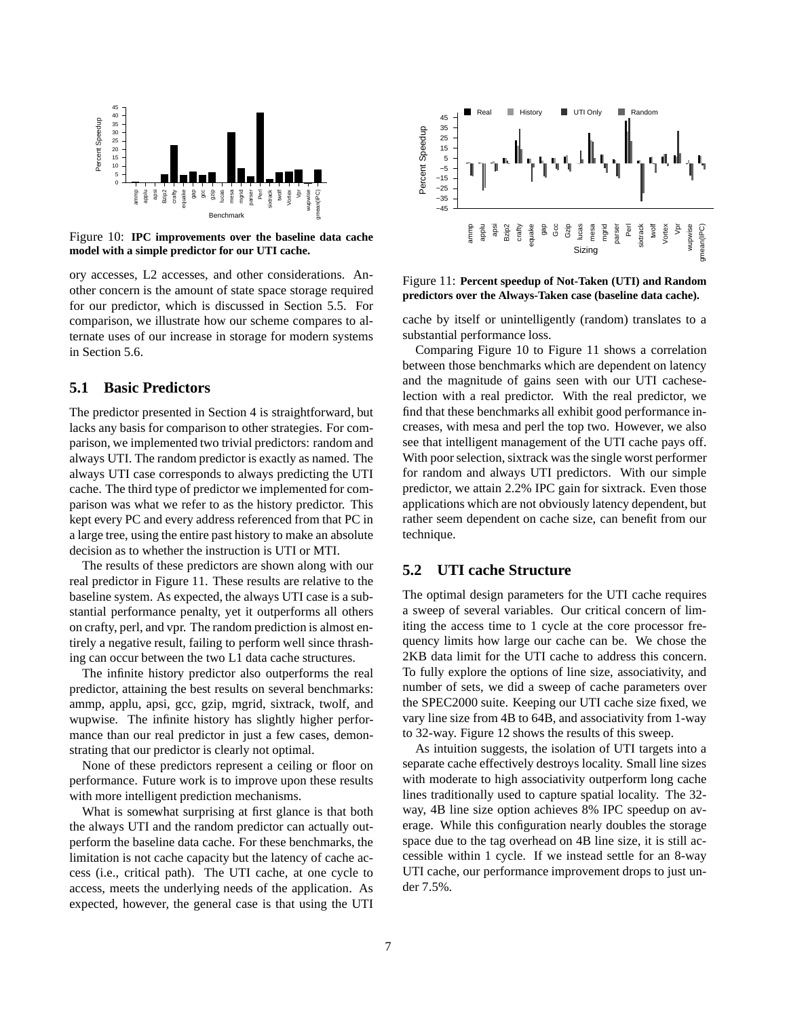

Figure 10: **IPC improvements over the baseline data cache model with a simple predictor for our UTI cache.**

ory accesses, L2 accesses, and other considerations. Another concern is the amount of state space storage required for our predictor, which is discussed in Section 5.5. For comparison, we illustrate how our scheme compares to alternate uses of our increase in storage for modern systems in Section 5.6.

# **5.1 Basic Predictors**

The predictor presented in Section 4 is straightforward, but lacks any basis for comparison to other strategies. For comparison, we implemented two trivial predictors: random and always UTI. The random predictor is exactly as named. The always UTI case corresponds to always predicting the UTI cache. The third type of predictor we implemented for comparison was what we refer to as the history predictor. This kept every PC and every address referenced from that PC in a large tree, using the entire past history to make an absolute decision as to whether the instruction is UTI or MTI.

The results of these predictors are shown along with our real predictor in Figure 11. These results are relative to the baseline system. As expected, the always UTI case is a substantial performance penalty, yet it outperforms all others on crafty, perl, and vpr. The random prediction is almost entirely a negative result, failing to perform well since thrashing can occur between the two L1 data cache structures.

The infinite history predictor also outperforms the real predictor, attaining the best results on several benchmarks: ammp, applu, apsi, gcc, gzip, mgrid, sixtrack, twolf, and wupwise. The infinite history has slightly higher performance than our real predictor in just a few cases, demonstrating that our predictor is clearly not optimal.

None of these predictors represent a ceiling or floor on performance. Future work is to improve upon these results with more intelligent prediction mechanisms.

What is somewhat surprising at first glance is that both the always UTI and the random predictor can actually outperform the baseline data cache. For these benchmarks, the limitation is not cache capacity but the latency of cache access (i.e., critical path). The UTI cache, at one cycle to access, meets the underlying needs of the application. As expected, however, the general case is that using the UTI



Figure 11: **Percent speedup of Not-Taken (UTI) and Random predictors over the Always-Taken case (baseline data cache).**

cache by itself or unintelligently (random) translates to a substantial performance loss.

Comparing Figure 10 to Figure 11 shows a correlation between those benchmarks which are dependent on latency and the magnitude of gains seen with our UTI cacheselection with a real predictor. With the real predictor, we find that these benchmarks all exhibit good performance increases, with mesa and perl the top two. However, we also see that intelligent management of the UTI cache pays off. With poor selection, sixtrack was the single worst performer for random and always UTI predictors. With our simple predictor, we attain 2.2% IPC gain for sixtrack. Even those applications which are not obviously latency dependent, but rather seem dependent on cache size, can benefit from our technique.

#### **5.2 UTI cache Structure**

The optimal design parameters for the UTI cache requires a sweep of several variables. Our critical concern of limiting the access time to 1 cycle at the core processor frequency limits how large our cache can be. We chose the 2KB data limit for the UTI cache to address this concern. To fully explore the options of line size, associativity, and number of sets, we did a sweep of cache parameters over the SPEC2000 suite. Keeping our UTI cache size fixed, we vary line size from 4B to 64B, and associativity from 1-way to 32-way. Figure 12 shows the results of this sweep.

As intuition suggests, the isolation of UTI targets into a separate cache effectively destroys locality. Small line sizes with moderate to high associativity outperform long cache lines traditionally used to capture spatial locality. The 32 way, 4B line size option achieves 8% IPC speedup on average. While this configuration nearly doubles the storage space due to the tag overhead on 4B line size, it is still accessible within 1 cycle. If we instead settle for an 8-way UTI cache, our performance improvement drops to just under 7.5%.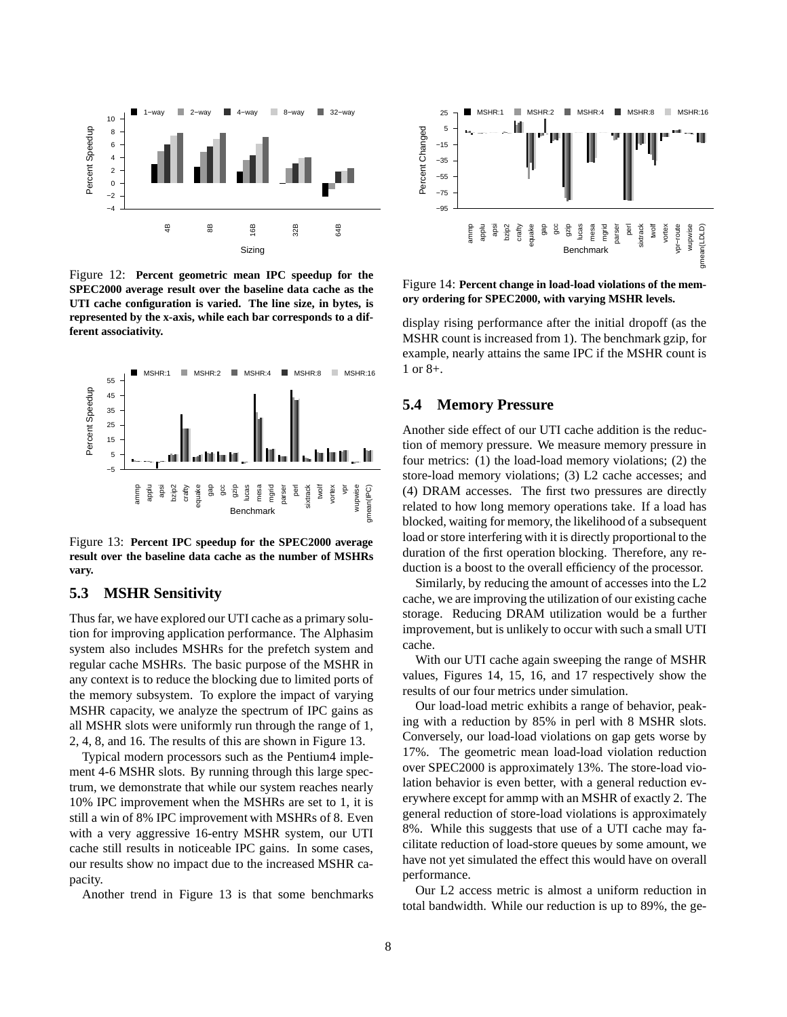

Figure 12: **Percent geometric mean IPC speedup for the SPEC2000 average result over the baseline data cache as the UTI cache configuration is varied. The line size, in bytes, is represented by the x-axis, while each bar corresponds to a different associativity.**



Figure 13: **Percent IPC speedup for the SPEC2000 average result over the baseline data cache as the number of MSHRs vary.**

### **5.3 MSHR Sensitivity**

Thus far, we have explored our UTI cache as a primary solution for improving application performance. The Alphasim system also includes MSHRs for the prefetch system and regular cache MSHRs. The basic purpose of the MSHR in any context is to reduce the blocking due to limited ports of the memory subsystem. To explore the impact of varying MSHR capacity, we analyze the spectrum of IPC gains as all MSHR slots were uniformly run through the range of 1, 2, 4, 8, and 16. The results of this are shown in Figure 13.

Typical modern processors such as the Pentium4 implement 4-6 MSHR slots. By running through this large spectrum, we demonstrate that while our system reaches nearly 10% IPC improvement when the MSHRs are set to 1, it is still a win of 8% IPC improvement with MSHRs of 8. Even with a very aggressive 16-entry MSHR system, our UTI cache still results in noticeable IPC gains. In some cases, our results show no impact due to the increased MSHR capacity.

Another trend in Figure 13 is that some benchmarks



Figure 14: **Percent change in load-load violations of the memory ordering for SPEC2000, with varying MSHR levels.**

display rising performance after the initial dropoff (as the MSHR count is increased from 1). The benchmark gzip, for example, nearly attains the same IPC if the MSHR count is 1 or 8+.

### **5.4 Memory Pressure**

Another side effect of our UTI cache addition is the reduction of memory pressure. We measure memory pressure in four metrics: (1) the load-load memory violations; (2) the store-load memory violations; (3) L2 cache accesses; and (4) DRAM accesses. The first two pressures are directly related to how long memory operations take. If a load has blocked, waiting for memory, the likelihood of a subsequent load or store interfering with it is directly proportional to the duration of the first operation blocking. Therefore, any reduction is a boost to the overall efficiency of the processor.

Similarly, by reducing the amount of accesses into the L2 cache, we are improving the utilization of our existing cache storage. Reducing DRAM utilization would be a further improvement, but is unlikely to occur with such a small UTI cache.

With our UTI cache again sweeping the range of MSHR values, Figures 14, 15, 16, and 17 respectively show the results of our four metrics under simulation.

Our load-load metric exhibits a range of behavior, peaking with a reduction by 85% in perl with 8 MSHR slots. Conversely, our load-load violations on gap gets worse by 17%. The geometric mean load-load violation reduction over SPEC2000 is approximately 13%. The store-load violation behavior is even better, with a general reduction everywhere except for ammp with an MSHR of exactly 2. The general reduction of store-load violations is approximately 8%. While this suggests that use of a UTI cache may facilitate reduction of load-store queues by some amount, we have not yet simulated the effect this would have on overall performance.

Our L2 access metric is almost a uniform reduction in total bandwidth. While our reduction is up to 89%, the ge-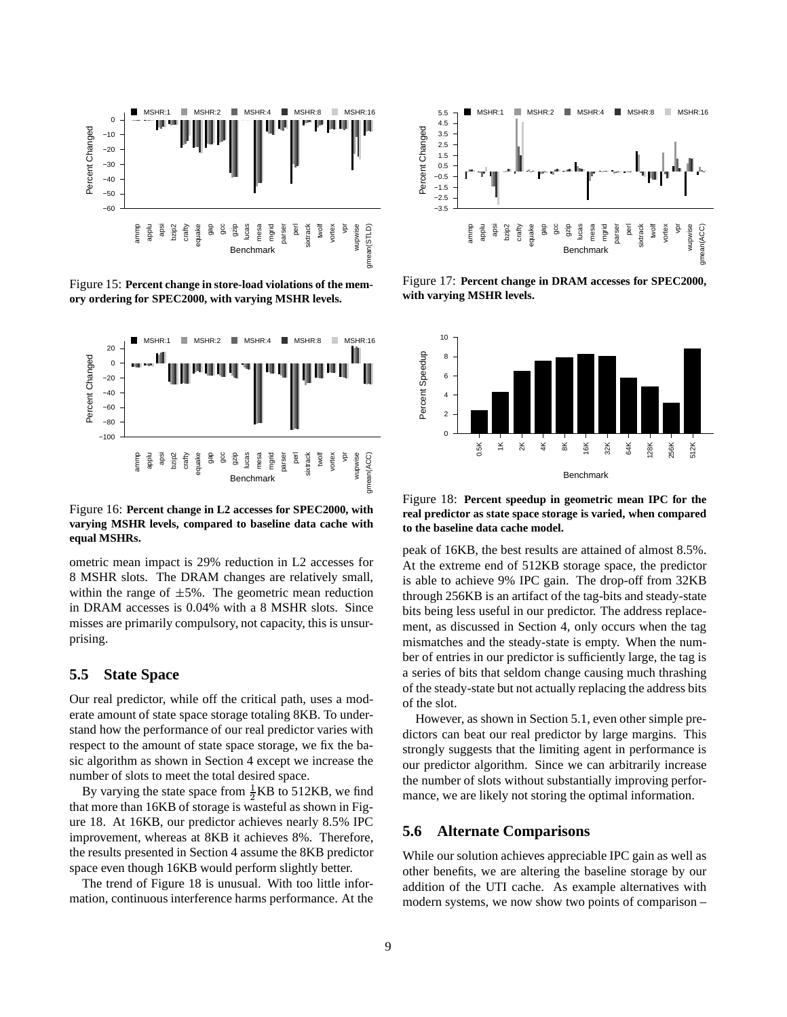

Figure 15: **Percent change in store-load violations of the memory ordering for SPEC2000, with varying MSHR levels.**



Figure 16: **Percent change in L2 accesses for SPEC2000, with varying MSHR levels, compared to baseline data cache with equal MSHRs.**

ometric mean impact is 29% reduction in L2 accesses for 8 MSHR slots. The DRAM changes are relatively small, within the range of  $\pm 5\%$ . The geometric mean reduction in DRAM accesses is 0.04% with a 8 MSHR slots. Since misses are primarily compulsory, not capacity, this is unsurprising.

### **5.5 State Space**

Our real predictor, while off the critical path, uses a moderate amount of state space storage totaling 8KB. To understand how the performance of our real predictor varies with respect to the amount of state space storage, we fix the basic algorithm as shown in Section 4 except we increase the number of slots to meet the total desired space.

By varying the state space from  $\frac{1}{2}KB$  to 512KB, we find that more than 16KB of storage is wasteful as shown in Figure 18. At 16KB, our predictor achieves nearly 8.5% IPC improvement, whereas at 8KB it achieves 8%. Therefore, the results presented in Section 4 assume the 8KB predictor space even though 16KB would perform slightly better.

The trend of Figure 18 is unusual. With too little information, continuous interference harms performance. At the



Figure 17: **Percent change in DRAM accesses for SPEC2000, with varying MSHR levels.**



Figure 18: **Percent speedup in geometric mean IPC for the real predictor as state space storage is varied, when compared to the baseline data cache model.**

peak of 16KB, the best results are attained of almost 8.5%. At the extreme end of 512KB storage space, the predictor is able to achieve 9% IPC gain. The drop-off from 32KB through 256KB is an artifact of the tag-bits and steady-state bits being less useful in our predictor. The address replacement, as discussed in Section 4, only occurs when the tag mismatches and the steady-state is empty. When the number of entries in our predictor is sufficiently large, the tag is a series of bits that seldom change causing much thrashing of the steady-state but not actually replacing the address bits of the slot.

However, as shown in Section 5.1, even other simple predictors can beat our real predictor by large margins. This strongly suggests that the limiting agent in performance is our predictor algorithm. Since we can arbitrarily increase the number of slots without substantially improving performance, we are likely not storing the optimal information.

### **5.6 Alternate Comparisons**

While our solution achieves appreciable IPC gain as well as other benefits, we are altering the baseline storage by our addition of the UTI cache. As example alternatives with modern systems, we now show two points of comparison –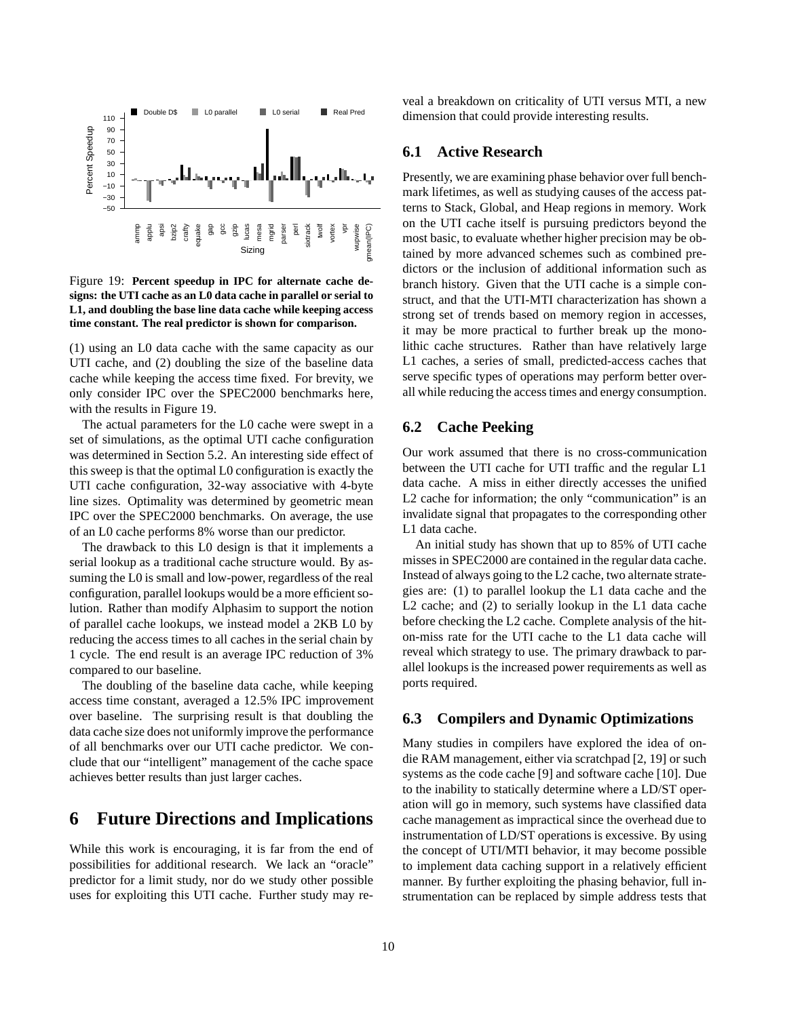

Figure 19: **Percent speedup in IPC for alternate cache designs: the UTI cache as an L0 data cache in parallel or serial to L1, and doubling the base line data cache while keeping access time constant. The real predictor is shown for comparison.**

(1) using an L0 data cache with the same capacity as our UTI cache, and (2) doubling the size of the baseline data cache while keeping the access time fixed. For brevity, we only consider IPC over the SPEC2000 benchmarks here, with the results in Figure 19.

The actual parameters for the L0 cache were swept in a set of simulations, as the optimal UTI cache configuration was determined in Section 5.2. An interesting side effect of this sweep is that the optimal L0 configuration is exactly the UTI cache configuration, 32-way associative with 4-byte line sizes. Optimality was determined by geometric mean IPC over the SPEC2000 benchmarks. On average, the use of an L0 cache performs 8% worse than our predictor.

The drawback to this L0 design is that it implements a serial lookup as a traditional cache structure would. By assuming the L0 is small and low-power, regardless of the real configuration, parallel lookups would be a more efficient solution. Rather than modify Alphasim to support the notion of parallel cache lookups, we instead model a 2KB L0 by reducing the access times to all caches in the serial chain by 1 cycle. The end result is an average IPC reduction of 3% compared to our baseline.

The doubling of the baseline data cache, while keeping access time constant, averaged a 12.5% IPC improvement over baseline. The surprising result is that doubling the data cache size does not uniformly improve the performance of all benchmarks over our UTI cache predictor. We conclude that our "intelligent" management of the cache space achieves better results than just larger caches.

# **6 Future Directions and Implications**

While this work is encouraging, it is far from the end of possibilities for additional research. We lack an "oracle" predictor for a limit study, nor do we study other possible uses for exploiting this UTI cache. Further study may reveal a breakdown on criticality of UTI versus MTI, a new dimension that could provide interesting results.

### **6.1 Active Research**

Presently, we are examining phase behavior over full benchmark lifetimes, as well as studying causes of the access patterns to Stack, Global, and Heap regions in memory. Work on the UTI cache itself is pursuing predictors beyond the most basic, to evaluate whether higher precision may be obtained by more advanced schemes such as combined predictors or the inclusion of additional information such as branch history. Given that the UTI cache is a simple construct, and that the UTI-MTI characterization has shown a strong set of trends based on memory region in accesses, it may be more practical to further break up the monolithic cache structures. Rather than have relatively large L1 caches, a series of small, predicted-access caches that serve specific types of operations may perform better overall while reducing the access times and energy consumption.

### **6.2 Cache Peeking**

Our work assumed that there is no cross-communication between the UTI cache for UTI traffic and the regular L1 data cache. A miss in either directly accesses the unified L2 cache for information; the only "communication" is an invalidate signal that propagates to the corresponding other L1 data cache.

An initial study has shown that up to 85% of UTI cache misses in SPEC2000 are contained in the regular data cache. Instead of always going to the L2 cache, two alternate strategies are: (1) to parallel lookup the L1 data cache and the L2 cache; and (2) to serially lookup in the L1 data cache before checking the L2 cache. Complete analysis of the hiton-miss rate for the UTI cache to the L1 data cache will reveal which strategy to use. The primary drawback to parallel lookups is the increased power requirements as well as ports required.

### **6.3 Compilers and Dynamic Optimizations**

Many studies in compilers have explored the idea of ondie RAM management, either via scratchpad [2, 19] or such systems as the code cache [9] and software cache [10]. Due to the inability to statically determine where a LD/ST operation will go in memory, such systems have classified data cache management as impractical since the overhead due to instrumentation of LD/ST operations is excessive. By using the concept of UTI/MTI behavior, it may become possible to implement data caching support in a relatively efficient manner. By further exploiting the phasing behavior, full instrumentation can be replaced by simple address tests that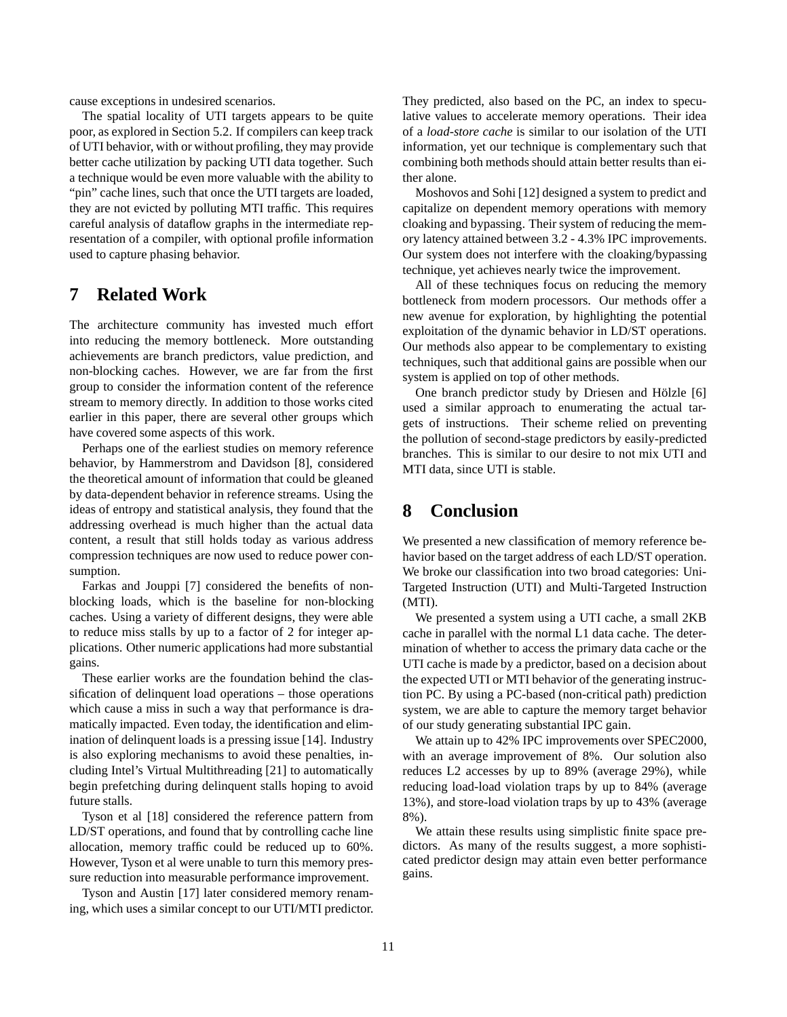cause exceptions in undesired scenarios.

The spatial locality of UTI targets appears to be quite poor, as explored in Section 5.2. If compilers can keep track of UTI behavior, with or without profiling, they may provide better cache utilization by packing UTI data together. Such a technique would be even more valuable with the ability to "pin" cache lines, such that once the UTI targets are loaded, they are not evicted by polluting MTI traffic. This requires careful analysis of dataflow graphs in the intermediate representation of a compiler, with optional profile information used to capture phasing behavior.

# **7 Related Work**

The architecture community has invested much effort into reducing the memory bottleneck. More outstanding achievements are branch predictors, value prediction, and non-blocking caches. However, we are far from the first group to consider the information content of the reference stream to memory directly. In addition to those works cited earlier in this paper, there are several other groups which have covered some aspects of this work.

Perhaps one of the earliest studies on memory reference behavior, by Hammerstrom and Davidson [8], considered the theoretical amount of information that could be gleaned by data-dependent behavior in reference streams. Using the ideas of entropy and statistical analysis, they found that the addressing overhead is much higher than the actual data content, a result that still holds today as various address compression techniques are now used to reduce power consumption.

Farkas and Jouppi [7] considered the benefits of nonblocking loads, which is the baseline for non-blocking caches. Using a variety of different designs, they were able to reduce miss stalls by up to a factor of 2 for integer applications. Other numeric applications had more substantial gains.

These earlier works are the foundation behind the classification of delinquent load operations – those operations which cause a miss in such a way that performance is dramatically impacted. Even today, the identification and elimination of delinquent loads is a pressing issue [14]. Industry is also exploring mechanisms to avoid these penalties, including Intel's Virtual Multithreading [21] to automatically begin prefetching during delinquent stalls hoping to avoid future stalls.

Tyson et al [18] considered the reference pattern from LD/ST operations, and found that by controlling cache line allocation, memory traffic could be reduced up to 60%. However, Tyson et al were unable to turn this memory pressure reduction into measurable performance improvement.

Tyson and Austin [17] later considered memory renaming, which uses a similar concept to our UTI/MTI predictor. They predicted, also based on the PC, an index to speculative values to accelerate memory operations. Their idea of a *load-store cache* is similar to our isolation of the UTI information, yet our technique is complementary such that combining both methods should attain better results than either alone.

Moshovos and Sohi [12] designed a system to predict and capitalize on dependent memory operations with memory cloaking and bypassing. Their system of reducing the memory latency attained between 3.2 - 4.3% IPC improvements. Our system does not interfere with the cloaking/bypassing technique, yet achieves nearly twice the improvement.

All of these techniques focus on reducing the memory bottleneck from modern processors. Our methods offer a new avenue for exploration, by highlighting the potential exploitation of the dynamic behavior in LD/ST operations. Our methods also appear to be complementary to existing techniques, such that additional gains are possible when our system is applied on top of other methods.

One branch predictor study by Driesen and Hölzle [6] used a similar approach to enumerating the actual targets of instructions. Their scheme relied on preventing the pollution of second-stage predictors by easily-predicted branches. This is similar to our desire to not mix UTI and MTI data, since UTI is stable.

# **8 Conclusion**

We presented a new classification of memory reference behavior based on the target address of each LD/ST operation. We broke our classification into two broad categories: Uni-Targeted Instruction (UTI) and Multi-Targeted Instruction (MTI).

We presented a system using a UTI cache, a small 2KB cache in parallel with the normal L1 data cache. The determination of whether to access the primary data cache or the UTI cache is made by a predictor, based on a decision about the expected UTI or MTI behavior of the generating instruction PC. By using a PC-based (non-critical path) prediction system, we are able to capture the memory target behavior of our study generating substantial IPC gain.

We attain up to 42% IPC improvements over SPEC2000, with an average improvement of 8%. Our solution also reduces L2 accesses by up to 89% (average 29%), while reducing load-load violation traps by up to 84% (average 13%), and store-load violation traps by up to 43% (average 8%).

We attain these results using simplistic finite space predictors. As many of the results suggest, a more sophisticated predictor design may attain even better performance gains.